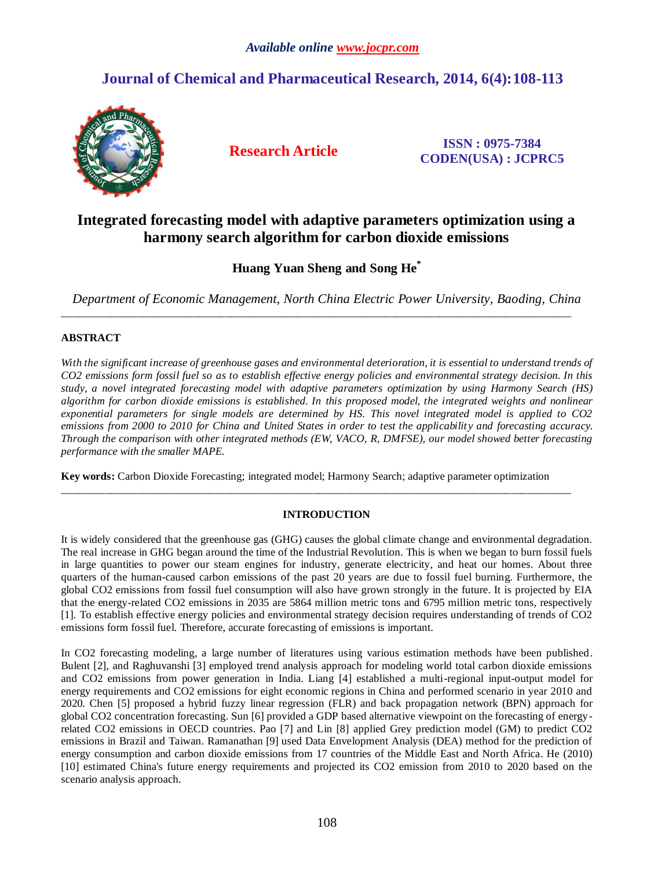# *Available online www.jocpr.com*

# **Journal of Chemical and Pharmaceutical Research, 2014, 6(4):108-113**



**Research Article ISSN : 0975-7384 CODEN(USA) : JCPRC5**

# **Integrated forecasting model with adaptive parameters optimization using a harmony search algorithm for carbon dioxide emissions**

# **Huang Yuan Sheng and Song He\***

*Department of Economic Management, North China Electric Power University, Baoding, China*

\_\_\_\_\_\_\_\_\_\_\_\_\_\_\_\_\_\_\_\_\_\_\_\_\_\_\_\_\_\_\_\_\_\_\_\_\_\_\_\_\_\_\_\_\_\_\_\_\_\_\_\_\_\_\_\_\_\_\_\_\_\_\_\_\_\_\_\_\_\_\_\_\_\_\_\_\_\_\_\_\_\_\_\_\_\_\_\_\_\_\_\_\_

## **ABSTRACT**

With the significant increase of greenhouse gases and environmental deterioration, it is essential to understand trends of *CO2 emissions form fossil fuel so as to establish effective energy policies and environmental strategy decision. In this study, a novel integrated forecasting model with adaptive parameters optimization by using Harmony Search (HS) algorithm for carbon dioxide emissions is established. In this proposed model, the integrated weights and nonlinear exponential parameters for single models are determined by HS. This novel integrated model is applied to CO2 emissions from 2000 to 2010 for China and United States in order to test the applicabilit y and forecasting accuracy. Through the comparison with other integrated methods (EW, VACO, R, DMFSE), our model showed better forecasting performance with the smaller MAPE.* 

**Key words:** Carbon Dioxide Forecasting; integrated model; Harmony Search; adaptive parameter optimization

\_\_\_\_\_\_\_\_\_\_\_\_\_\_\_\_\_\_\_\_\_\_\_\_\_\_\_\_\_\_\_\_\_\_\_\_\_\_\_\_\_\_\_\_\_\_\_\_\_\_\_\_\_\_\_\_\_\_\_\_\_\_\_\_\_\_\_\_\_\_\_\_\_\_\_\_\_\_\_\_\_\_\_\_\_\_\_\_\_\_\_\_\_

## **INTRODUCTION**

It is widely considered that the greenhouse gas (GHG) causes the global climate change and environmental degradation. The real increase in GHG began around the time of the Industrial Revolution. This is when we began to burn fossil fuels in large quantities to power our steam engines for industry, generate electricity, and heat our homes. About three quarters of the human-caused carbon emissions of the past 20 years are due to fossil fuel burning. Furthermore, the global CO2 emissions from fossil fuel consumption will also have grown strongly in the future. It is projected by EIA that the energy-related CO2 emissions in 2035 are 5864 million metric tons and 6795 million metric tons, respectively [1]. To establish effective energy policies and environmental strategy decision requires understanding of trends of CO2 emissions form fossil fuel. Therefore, accurate forecasting of emissions is important.

In CO2 forecasting modeling, a large number of literatures using various estimation methods have been published. Bulent [2], and Raghuvanshi [3] employed trend analysis approach for modeling world total carbon dioxide emissions and CO2 emissions from power generation in India. Liang [4] established a multi-regional input-output model for energy requirements and CO2 emissions for eight economic regions in China and performed scenario in year 2010 and 2020. Chen [5] proposed a hybrid fuzzy linear regression (FLR) and back propagation network (BPN) approach for global CO2 concentration forecasting. Sun [6] provided a GDP based alternative viewpoint on the forecasting of energyrelated CO2 emissions in OECD countries. Pao [7] and Lin [8] applied Grey prediction model (GM) to predict CO2 emissions in Brazil and Taiwan. Ramanathan [9] used Data Envelopment Analysis (DEA) method for the prediction of energy consumption and carbon dioxide emissions from 17 countries of the Middle East and North Africa. He (2010) [10] estimated China's future energy requirements and projected its CO2 emission from 2010 to 2020 based on the scenario analysis approach.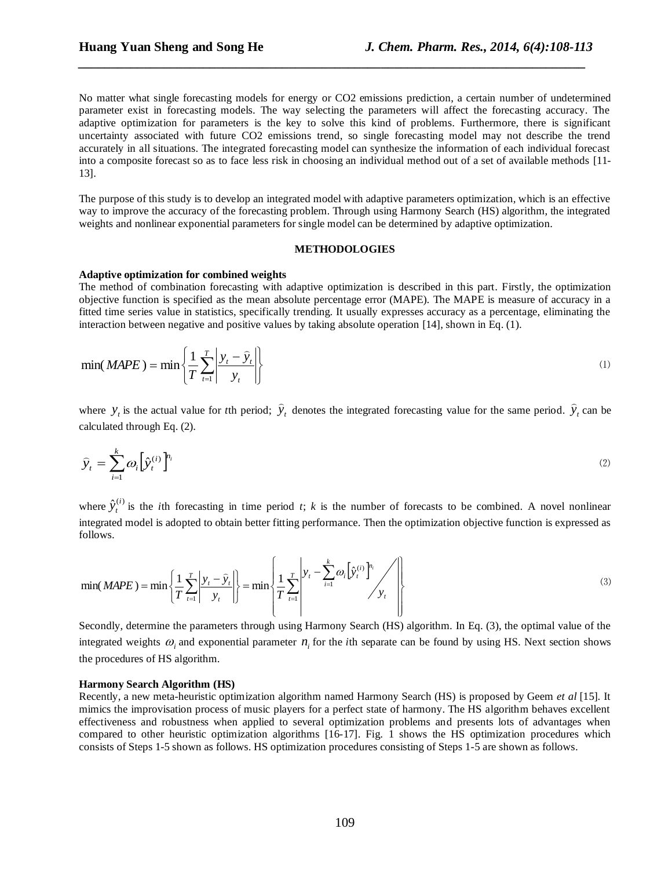No matter what single forecasting models for energy or CO2 emissions prediction, a certain number of undetermined parameter exist in forecasting models. The way selecting the parameters will affect the forecasting accuracy. The adaptive optimization for parameters is the key to solve this kind of problems. Furthermore, there is significant uncertainty associated with future CO2 emissions trend, so single forecasting model may not describe the trend accurately in all situations. The integrated forecasting model can synthesize the information of each individual forecast into a composite forecast so as to face less risk in choosing an individual method out of a set of available methods [11- 13].

*\_\_\_\_\_\_\_\_\_\_\_\_\_\_\_\_\_\_\_\_\_\_\_\_\_\_\_\_\_\_\_\_\_\_\_\_\_\_\_\_\_\_\_\_\_\_\_\_\_\_\_\_\_\_\_\_\_\_\_\_\_\_\_\_\_\_\_\_\_\_\_\_\_\_\_\_\_*

The purpose of this study is to develop an integrated model with adaptive parameters optimization, which is an effective way to improve the accuracy of the forecasting problem. Through using Harmony Search (HS) algorithm, the integrated weights and nonlinear exponential parameters for single model can be determined by adaptive optimization.

#### **METHODOLOGIES**

#### **Adaptive optimization for combined weights**

The method of combination forecasting with adaptive optimization is described in this part. Firstly, the optimization objective function is specified as the mean absolute percentage error (MAPE). The MAPE is measure of accuracy in a fitted time series value in statistics, specifically trending. It usually expresses accuracy as a percentage, eliminating the interaction between negative and positive values by taking absolute operation [14], shown in Eq. (1).

$$
\min(MAPE) = \min\left\{\frac{1}{T}\sum_{t=1}^{T} \left| \frac{y_t - \widehat{y}_t}{y_t} \right| \right\} \tag{1}
$$

where  $y_t$  is the actual value for *t*th period;  $\hat{y}_t$  denotes the integrated forecasting value for the same period.  $\hat{y}_t$  can be calculated through Eq. (2).

$$
\widehat{\mathbf{y}}_t = \sum_{i=1}^k \mathbf{\omega}_i \left[ \widehat{\mathbf{y}}_t^{(i)} \right]^{n_i} \tag{2}
$$

where  $\hat{y}_t^{(i)}$  $\hat{y}^{(i)}_t$  is the *i*th forecasting in time period *t*; *k* is the number of forecasts to be combined. A novel nonlinear integrated model is adopted to obtain better fitting performance. Then the optimization objective function is expressed as follows.

$$
\min(MAPE) = \min\left\{\frac{1}{T}\sum_{t=1}^{T} \left| \frac{y_t - \widehat{y}_t}{y_t} \right| \right\} = \min\left\{\frac{1}{T}\sum_{t=1}^{T} \left| \frac{y_t - \sum_{i=1}^{k} \omega_i \left[ \widehat{y}_t^{(i)} \right]^{n_i}}{y_t} \right| \right\}
$$
(3)

Secondly, determine the parameters through using Harmony Search (HS) algorithm. In Eq. (3), the optimal value of the integrated weights  $\omega_i$  and exponential parameter  $n_i$  for the *i*th separate can be found by using HS. Next section shows the procedures of HS algorithm.

#### **Harmony Search Algorithm (HS)**

Recently, a new meta-heuristic optimization algorithm named Harmony Search (HS) is proposed by Geem *et al* [15]. It mimics the improvisation process of music players for a perfect state of harmony. The HS algorithm behaves excellent effectiveness and robustness when applied to several optimization problems and presents lots of advantages when compared to other heuristic optimization algorithms [16-17]. Fig. 1 shows the HS optimization procedures which consists of Steps 1-5 shown as follows. HS optimization procedures consisting of Steps 1-5 are shown as follows.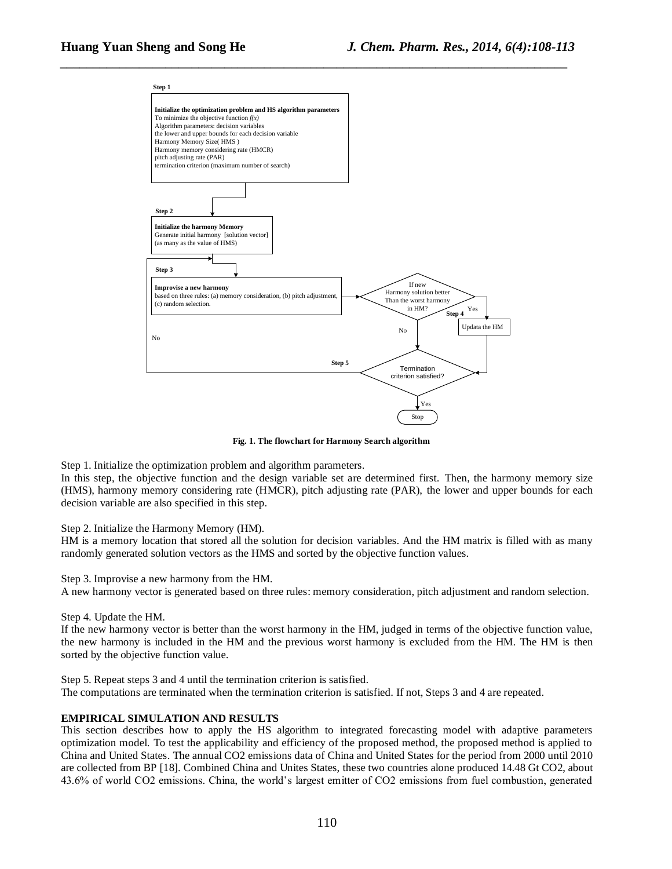

*\_\_\_\_\_\_\_\_\_\_\_\_\_\_\_\_\_\_\_\_\_\_\_\_\_\_\_\_\_\_\_\_\_\_\_\_\_\_\_\_\_\_\_\_\_\_\_\_\_\_\_\_\_\_\_\_\_\_\_\_\_\_\_\_\_\_\_\_\_\_\_\_\_\_\_\_\_*

**Fig. 1. The flowchart for Harmony Search algorithm**

Step 1. Initialize the optimization problem and algorithm parameters.

In this step, the objective function and the design variable set are determined first. Then, the harmony memory size (HMS), harmony memory considering rate (HMCR), pitch adjusting rate (PAR), the lower and upper bounds for each decision variable are also specified in this step.

Step 2. Initialize the Harmony Memory (HM).

HM is a memory location that stored all the solution for decision variables. And the HM matrix is filled with as many randomly generated solution vectors as the HMS and sorted by the objective function values.

Step 3. Improvise a new harmony from the HM.

A new harmony vector is generated based on three rules: memory consideration, pitch adjustment and random selection.

Step 4. Update the HM.

If the new harmony vector is better than the worst harmony in the HM, judged in terms of the objective function value, the new harmony is included in the HM and the previous worst harmony is excluded from the HM. The HM is then sorted by the objective function value.

Step 5. Repeat steps 3 and 4 until the termination criterion is satisfied. The computations are terminated when the termination criterion is satisfied. If not, Steps 3 and 4 are repeated.

### **EMPIRICAL SIMULATION AND RESULTS**

This section describes how to apply the HS algorithm to integrated forecasting model with adaptive parameters optimization model. To test the applicability and efficiency of the proposed method, the proposed method is applied to China and United States. The annual CO2 emissions data of China and United States for the period from 2000 until 2010 are collected from BP [18]. Combined China and Unites States, these two countries alone produced 14.48 Gt CO2, about 43.6% of world CO2 emissions. China, the world's largest emitter of CO2 emissions from fuel combustion, generated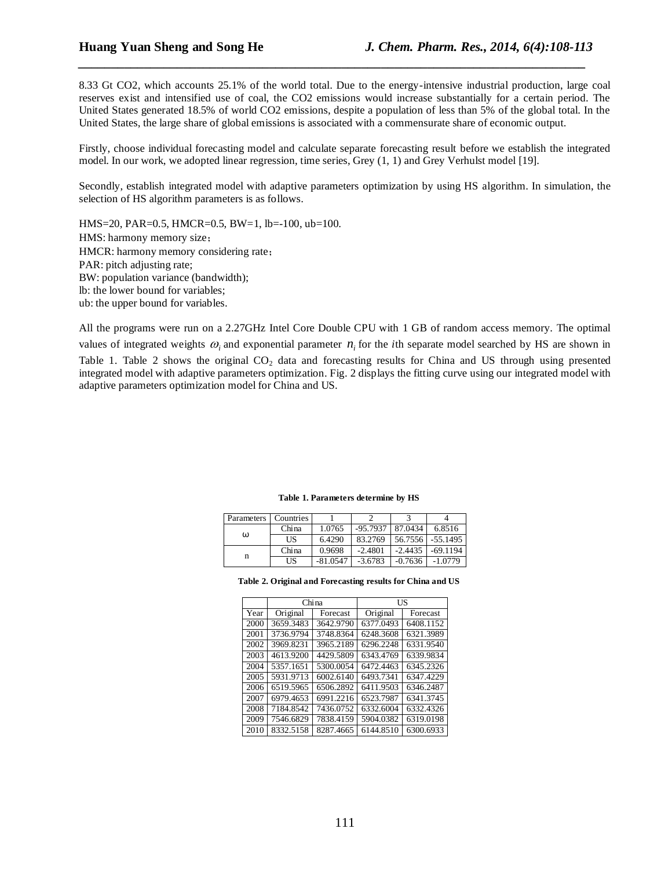8.33 Gt CO2, which accounts 25.1% of the world total. Due to the energy-intensive industrial production, large coal reserves exist and intensified use of coal, the CO2 emissions would increase substantially for a certain period. The United States generated 18.5% of world CO2 emissions, despite a population of less than 5% of the global total. In the United States, the large share of global emissions is associated with a commensurate share of economic output.

*\_\_\_\_\_\_\_\_\_\_\_\_\_\_\_\_\_\_\_\_\_\_\_\_\_\_\_\_\_\_\_\_\_\_\_\_\_\_\_\_\_\_\_\_\_\_\_\_\_\_\_\_\_\_\_\_\_\_\_\_\_\_\_\_\_\_\_\_\_\_\_\_\_\_\_\_\_*

Firstly, choose individual forecasting model and calculate separate forecasting result before we establish the integrated model. In our work, we adopted linear regression, time series, Grey (1, 1) and Grey Verhulst model [19].

Secondly, establish integrated model with adaptive parameters optimization by using HS algorithm. In simulation, the selection of HS algorithm parameters is as follows.

HMS=20, PAR=0.5, HMCR=0.5, BW=1, lb=-100, ub=100. HMS: harmony memory size; HMCR: harmony memory considering rate; PAR: pitch adjusting rate; BW: population variance (bandwidth); lb: the lower bound for variables; ub: the upper bound for variables.

All the programs were run on a 2.27GHz Intel Core Double CPU with 1 GB of random access memory. The optimal values of integrated weights  $\omega_i$  and exponential parameter  $n_i$  for the *i*th separate model searched by HS are shown in Table 1. Table 2 shows the original  $CO<sub>2</sub>$  data and forecasting results for China and US through using presented integrated model with adaptive parameters optimization. Fig. 2 displays the fitting curve using our integrated model with adaptive parameters optimization model for China and US.

| Parameters | <b>Countries</b> |            |            |           |            |
|------------|------------------|------------|------------|-----------|------------|
| ω          | China            | 1.0765     | $-95.7937$ | 87.0434   | 6.8516     |
|            | US               | 6.4290     | 83.2769    | 56.7556   | $-55.1495$ |
| n          | China            | 0.9698     | $-2.4801$  | $-2.4435$ | $-69.1194$ |
|            | US               | $-81.0547$ | $-3.6783$  | $-0.7636$ | $-1.0779$  |

**Table 1. Parameters determine by HS**

**Table 2. Original and Forecasting results for China and US**

|      |           | China     | US        |           |  |
|------|-----------|-----------|-----------|-----------|--|
| Year | Original  | Forecast  | Original  | Forecast  |  |
| 2000 | 3659.3483 | 3642.9790 | 6377.0493 | 6408.1152 |  |
| 2001 | 3736.9794 | 3748.8364 | 6248.3608 | 6321.3989 |  |
| 2002 | 3969.8231 | 3965.2189 | 6296.2248 | 6331.9540 |  |
| 2003 | 4613.9200 | 4429.5809 | 6343.4769 | 6339.9834 |  |
| 2004 | 5357.1651 | 5300.0054 | 6472.4463 | 6345.2326 |  |
| 2005 | 5931.9713 | 6002.6140 | 6493.7341 | 6347.4229 |  |
| 2006 | 6519.5965 | 6506.2892 | 6411.9503 | 6346.2487 |  |
| 2007 | 6979.4653 | 6991.2216 | 6523.7987 | 6341.3745 |  |
| 2008 | 7184.8542 | 7436.0752 | 6332.6004 | 6332.4326 |  |
| 2009 | 7546.6829 | 7838.4159 | 5904.0382 | 6319.0198 |  |
| 2010 | 8332.5158 | 8287.4665 | 6144.8510 | 6300.6933 |  |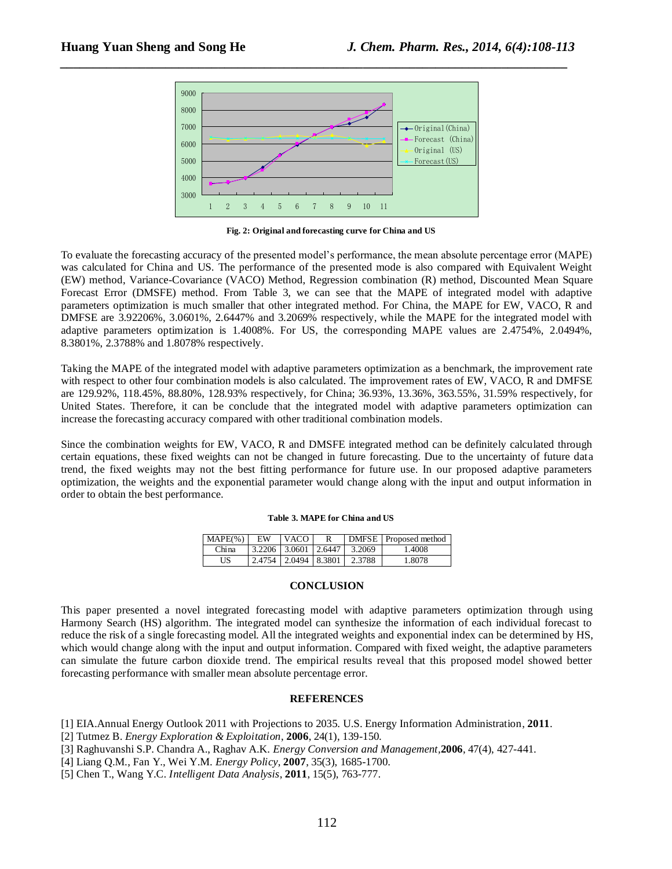

*\_\_\_\_\_\_\_\_\_\_\_\_\_\_\_\_\_\_\_\_\_\_\_\_\_\_\_\_\_\_\_\_\_\_\_\_\_\_\_\_\_\_\_\_\_\_\_\_\_\_\_\_\_\_\_\_\_\_\_\_\_\_\_\_\_\_\_\_\_\_\_\_\_\_\_\_\_*

**Fig. 2: Original and forecasting curve for China and US**

To evaluate the forecasting accuracy of the presented model's performance, the mean absolute percentage error (MAPE) was calculated for China and US. The performance of the presented mode is also compared with Equivalent Weight (EW) method, Variance-Covariance (VACO) Method, Regression combination (R) method, Discounted Mean Square Forecast Error (DMSFE) method. From Table 3, we can see that the MAPE of integrated model with adaptive parameters optimization is much smaller that other integrated method. For China, the MAPE for EW, VACO, R and DMFSE are 3.92206%, 3.0601%, 2.6447% and 3.2069% respectively, while the MAPE for the integrated model with adaptive parameters optimization is 1.4008%. For US, the corresponding MAPE values are 2.4754%, 2.0494%, 8.3801%, 2.3788% and 1.8078% respectively.

Taking the MAPE of the integrated model with adaptive parameters optimization as a benchmark, the improvement rate with respect to other four combination models is also calculated. The improvement rates of EW, VACO, R and DMFSE are 129.92%, 118.45%, 88.80%, 128.93% respectively, for China; 36.93%, 13.36%, 363.55%, 31.59% respectively, for United States. Therefore, it can be conclude that the integrated model with adaptive parameters optimization can increase the forecasting accuracy compared with other traditional combination models.

Since the combination weights for EW, VACO, R and DMSFE integrated method can be definitely calculated through certain equations, these fixed weights can not be changed in future forecasting. Due to the uncertainty of future data trend, the fixed weights may not the best fitting performance for future use. In our proposed adaptive parameters optimization, the weights and the exponential parameter would change along with the input and output information in order to obtain the best performance.

| $MAPE(\% )$ | <b>FW</b> | VACO.                       | R |        | <b>DMFSE</b> Proposed method |
|-------------|-----------|-----------------------------|---|--------|------------------------------|
| China       |           | $13.2206$   3.0601   2.6447 |   | 3.2069 | 1.4008                       |
| US          |           | 2.4754 2.0494 8.3801        |   | 2.3788 | 1.8078                       |

### **CONCLUSION**

This paper presented a novel integrated forecasting model with adaptive parameters optimization through using Harmony Search (HS) algorithm. The integrated model can synthesize the information of each individual forecast to reduce the risk of a single forecasting model. All the integrated weights and exponential index can be determined by HS, which would change along with the input and output information. Compared with fixed weight, the adaptive parameters can simulate the future carbon dioxide trend. The empirical results reveal that this proposed model showed better forecasting performance with smaller mean absolute percentage error.

#### **REFERENCES**

- [1] EIA.Annual Energy Outlook 2011 with Projections to 2035. U.S. Energy Information Administration, **2011**.
- [2] Tutmez B. *Energy Exploration & Exploitation*, **2006**, 24(1), 139-150.
- [3] Raghuvanshi S.P. Chandra A., Raghav A.K. *Energy Conversion and Management,***2006**, 47(4), 427-441.
- [4] Liang Q.M., Fan Y., Wei Y.M. *Energy Policy*, **2007**, 35(3), 1685-1700.
- [5] Chen T., Wang Y.C. *Intelligent Data Analysis*, **2011**, 15(5), 763-777.